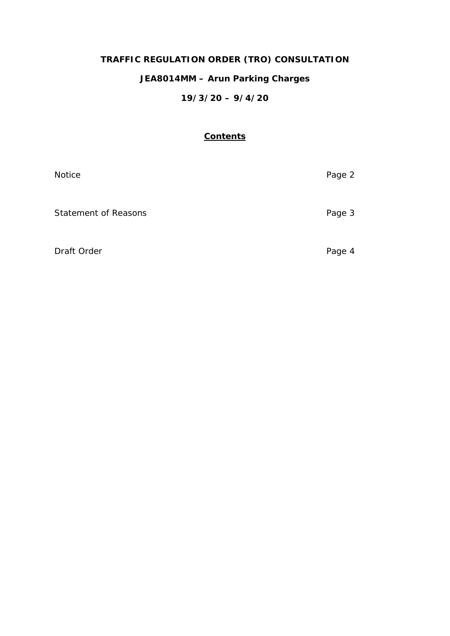# **TRAFFIC REGULATION ORDER (TRO) CONSULTATION**

## **JEA8014MM – Arun Parking Charges**

## **19/3/20 – 9/4/20**

## **Contents**

| Notice                      | Page 2 |
|-----------------------------|--------|
| <b>Statement of Reasons</b> | Page 3 |
| Draft Order                 | Page 4 |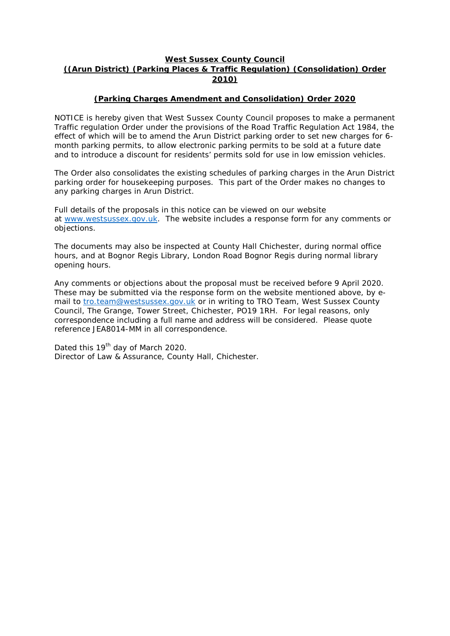## **West Sussex County Council ((Arun District) (Parking Places & Traffic Regulation) (Consolidation) Order 2010)**

### **(Parking Charges Amendment and Consolidation) Order 2020**

NOTICE is hereby given that West Sussex County Council proposes to make a permanent Traffic regulation Order under the provisions of the Road Traffic Regulation Act 1984, the effect of which will be to amend the Arun District parking order to set new charges for 6 month parking permits, to allow electronic parking permits to be sold at a future date and to introduce a discount for residents' permits sold for use in low emission vehicles.

The Order also consolidates the existing schedules of parking charges in the Arun District parking order for housekeeping purposes. This part of the Order makes no changes to any parking charges in Arun District.

Full details of the proposals in this notice can be viewed on our website at [www.westsussex.gov.uk.](http://www.westsussex.gov.uk/) The website includes a response form for any comments or objections.

The documents may also be inspected at County Hall Chichester, during normal office hours, and at Bognor Regis Library, London Road Bognor Regis during normal library opening hours.

Any comments or objections about the proposal must be received before 9 April 2020. These may be submitted via the response form on the website mentioned above, by email to [tro.team@westsussex.gov.uk](mailto:tro.team@westsussex.gov.uk) or in writing to TRO Team, West Sussex County Council, The Grange, Tower Street, Chichester, PO19 1RH. For legal reasons, only correspondence including a full name and address will be considered. Please quote reference JEA8014-MM in all correspondence.

Dated this 19<sup>th</sup> day of March 2020. Director of Law & Assurance, County Hall, Chichester.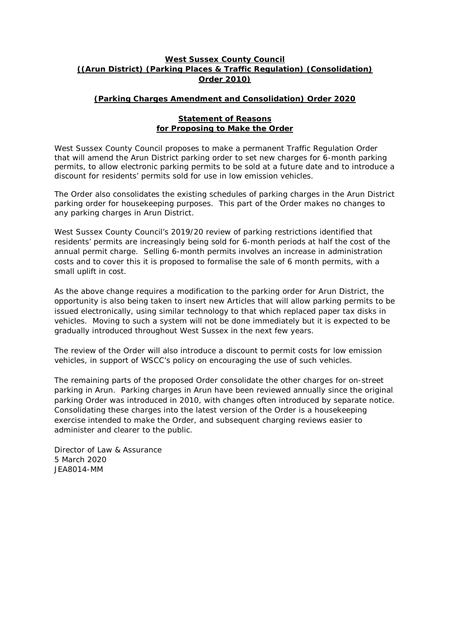### **West Sussex County Council ((Arun District) (Parking Places & Traffic Regulation) (Consolidation) Order 2010)**

## **(Parking Charges Amendment and Consolidation) Order 2020**

#### **Statement of Reasons for Proposing to Make the Order**

West Sussex County Council proposes to make a permanent Traffic Regulation Order that will amend the Arun District parking order to set new charges for 6-month parking permits, to allow electronic parking permits to be sold at a future date and to introduce a discount for residents' permits sold for use in low emission vehicles.

The Order also consolidates the existing schedules of parking charges in the Arun District parking order for housekeeping purposes. This part of the Order makes no changes to any parking charges in Arun District.

West Sussex County Council's 2019/20 review of parking restrictions identified that residents' permits are increasingly being sold for 6-month periods at half the cost of the annual permit charge. Selling 6-month permits involves an increase in administration costs and to cover this it is proposed to formalise the sale of 6 month permits, with a small uplift in cost.

As the above change requires a modification to the parking order for Arun District, the opportunity is also being taken to insert new Articles that will allow parking permits to be issued electronically, using similar technology to that which replaced paper tax disks in vehicles. Moving to such a system will not be done immediately but it is expected to be gradually introduced throughout West Sussex in the next few years.

The review of the Order will also introduce a discount to permit costs for low emission vehicles, in support of WSCC's policy on encouraging the use of such vehicles.

The remaining parts of the proposed Order consolidate the other charges for on-street parking in Arun. Parking charges in Arun have been reviewed annually since the original parking Order was introduced in 2010, with changes often introduced by separate notice. Consolidating these charges into the latest version of the Order is a housekeeping exercise intended to make the Order, and subsequent charging reviews easier to administer and clearer to the public.

Director of Law & Assurance 5 March 2020 JEA8014-MM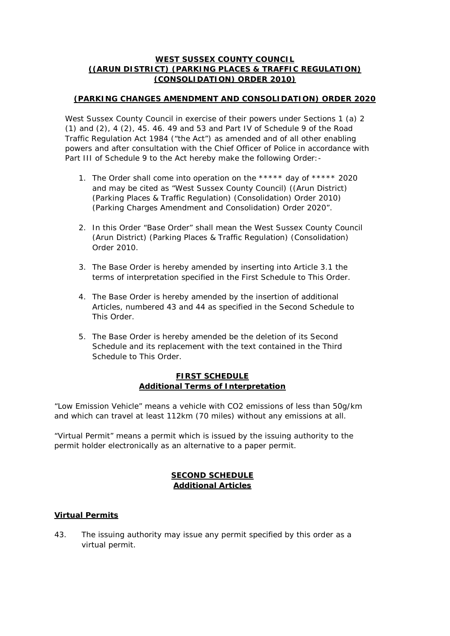### **WEST SUSSEX COUNTY COUNCIL ((ARUN DISTRICT) (PARKING PLACES & TRAFFIC REGULATION) (CONSOLIDATION) ORDER 2010)**

## **(PARKING CHANGES AMENDMENT AND CONSOLIDATION) ORDER 2020**

West Sussex County Council in exercise of their powers under Sections 1 (a) 2 (1) and (2), 4 (2), 45. 46. 49 and 53 and Part IV of Schedule 9 of the Road Traffic Regulation Act 1984 ("the Act") as amended and of all other enabling powers and after consultation with the Chief Officer of Police in accordance with Part III of Schedule 9 to the Act hereby make the following Order: -

- 1. The Order shall come into operation on the \*\*\*\*\* day of \*\*\*\*\* 2020 and may be cited as "West Sussex County Council) ((Arun District) (Parking Places & Traffic Regulation) (Consolidation) Order 2010) (Parking Charges Amendment and Consolidation) Order 2020".
- 2. In this Order "Base Order" shall mean the West Sussex County Council (Arun District) (Parking Places & Traffic Regulation) (Consolidation) Order 2010.
- 3. The Base Order is hereby amended by inserting into Article 3.1 the terms of interpretation specified in the First Schedule to This Order.
- 4. The Base Order is hereby amended by the insertion of additional Articles, numbered 43 and 44 as specified in the Second Schedule to This Order.
- 5. The Base Order is hereby amended be the deletion of its Second Schedule and its replacement with the text contained in the Third Schedule to This Order.

### **FIRST SCHEDULE Additional Terms of Interpretation**

"Low Emission Vehicle" means a vehicle with CO2 emissions of less than 50g/km and which can travel at least 112km (70 miles) without any emissions at all.

"Virtual Permit" means a permit which is issued by the issuing authority to the permit holder electronically as an alternative to a paper permit.

## **SECOND SCHEDULE Additional Articles**

## **Virtual Permits**

43. The issuing authority may issue any permit specified by this order as a virtual permit.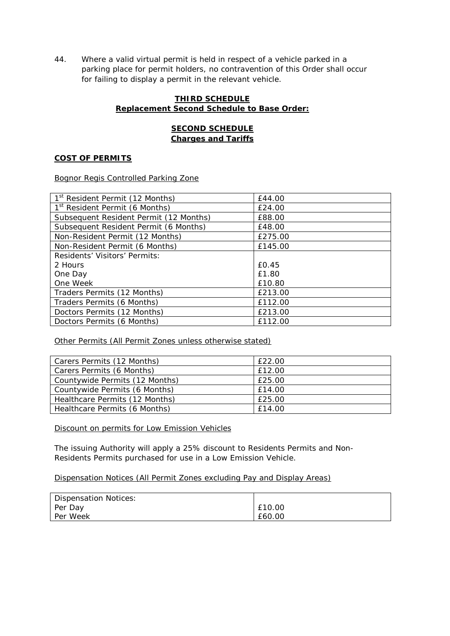44. Where a valid virtual permit is held in respect of a vehicle parked in a parking place for permit holders, no contravention of this Order shall occur for failing to display a permit in the relevant vehicle.

### **THIRD SCHEDULE Replacement Second Schedule to Base Order:**

## **SECOND SCHEDULE Charges and Tariffs**

#### **COST OF PERMITS**

Bognor Regis Controlled Parking Zone

| 1 <sup>st</sup> Resident Permit (12 Months) | £44.00   |
|---------------------------------------------|----------|
| 1 <sup>st</sup> Resident Permit (6 Months)  | £24.00   |
| Subsequent Resident Permit (12 Months)      | £88.00   |
| Subsequent Resident Permit (6 Months)       | £48.00   |
| Non-Resident Permit (12 Months)             | £275.00  |
| Non-Resident Permit (6 Months)              | £145.00  |
| Residents' Visitors' Permits:               |          |
| 2 Hours                                     | $f$ 0.45 |
| One Day                                     | £1.80    |
| One Week                                    | £10.80   |
| Traders Permits (12 Months)                 | £213.00  |
| Traders Permits (6 Months)                  | £112.00  |
| Doctors Permits (12 Months)                 | £213.00  |
| Doctors Permits (6 Months)                  | £112.00  |

Other Permits (All Permit Zones unless otherwise stated)

| Carers Permits (12 Months)     | £22.00 |
|--------------------------------|--------|
| Carers Permits (6 Months)      | £12.00 |
| Countywide Permits (12 Months) | £25.00 |
| Countywide Permits (6 Months)  | £14.00 |
| Healthcare Permits (12 Months) | £25.00 |
| Healthcare Permits (6 Months)  | £14.00 |

Discount on permits for Low Emission Vehicles

The issuing Authority will apply a 25% discount to Residents Permits and Non-Residents Permits purchased for use in a Low Emission Vehicle.

#### Dispensation Notices (All Permit Zones excluding Pay and Display Areas)

| Dispensation Notices: |        |
|-----------------------|--------|
| Per Day               | £10.00 |
| Per Week              | £60.00 |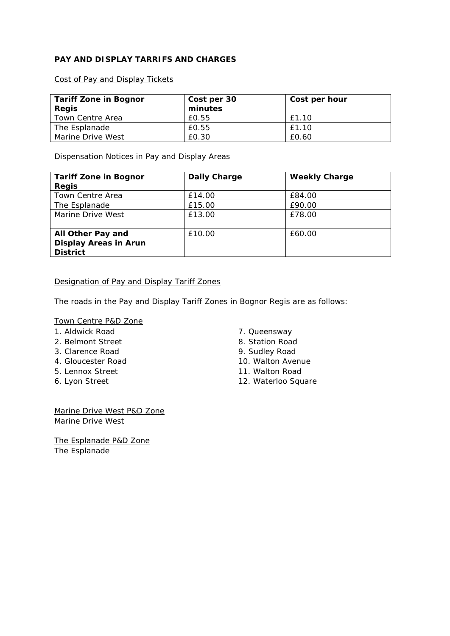## **PAY AND DISPLAY TARRIFS AND CHARGES**

Cost of Pay and Display Tickets

| <b>Tariff Zone in Bognor</b> | Cost per 30 | Cost per hour |
|------------------------------|-------------|---------------|
| <b>Regis</b>                 | minutes     |               |
| Town Centre Area             | £0.55       | £1.10         |
| The Esplanade                | £0.55       | £1.10         |
| Marine Drive West            | £0.30       | £0.60         |

Dispensation Notices in Pay and Display Areas

| <b>Tariff Zone in Bognor</b> | Daily Charge | <b>Weekly Charge</b> |
|------------------------------|--------------|----------------------|
| <b>Regis</b>                 |              |                      |
| Town Centre Area             | £14.00       | £84.00               |
| The Esplanade                | £15.00       | £90.00               |
| Marine Drive West            | £13.00       | £78.00               |
|                              |              |                      |
| All Other Pay and            | £10.00       | £60.00               |
| <b>Display Areas in Arun</b> |              |                      |
| <b>District</b>              |              |                      |

### Designation of Pay and Display Tariff Zones

The roads in the Pay and Display Tariff Zones in Bognor Regis are as follows:

## Town Centre P&D Zone

- 1. Aldwick Road
- 2. Belmont Street
- 3. Clarence Road
- 4. Gloucester Road
- 5. Lennox Street
- 6. Lyon Street
- 7. Queensway
- 8. Station Road
- 9. Sudley Road
- 10. Walton Avenue
- 11. Walton Road
- 12. Waterloo Square

Marine Drive West P&D Zone Marine Drive West

The Esplanade P&D Zone The Esplanade